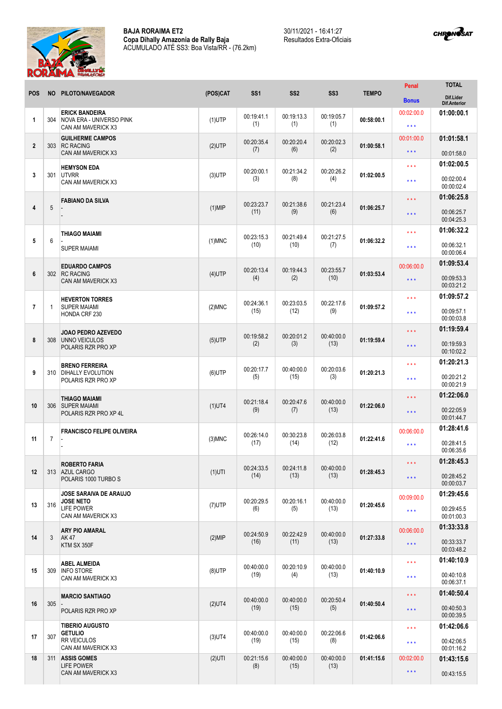

30/11/2021 - 16:41:27 Resultados Extra-Oficiais



| <b>POS</b>              | <b>NO</b>      | PILOTO/NAVEGADOR                                                                     | (POS)CAT  | SS <sub>1</sub>    | SS <sub>2</sub>    | SS <sub>3</sub>    | <b>TEMPO</b> | Penal                   | <b>TOTAL</b>                     |
|-------------------------|----------------|--------------------------------------------------------------------------------------|-----------|--------------------|--------------------|--------------------|--------------|-------------------------|----------------------------------|
|                         |                |                                                                                      |           |                    |                    |                    |              | <b>Bonus</b>            | Dif.Lider<br><b>Dif.Anterior</b> |
| 1                       | 304            | <b>ERICK BANDEIRA</b><br>NOVA ERA - UNIVERSO PINK<br>CAN AM MAVERICK X3              | $(1)$ UTP | 00:19:41.1<br>(1)  | 00:19:13.3<br>(1)  | 00:19:05.7<br>(1)  | 00:58:00.1   | 00:02:00.0<br>$***$     | 01:00:00.1                       |
|                         |                | <b>GUILHERME CAMPOS</b>                                                              | $(2)$ UTP |                    |                    |                    | 01:00:58.1   | 00:01:00.0              | 01:01:58.1                       |
| $\overline{\mathbf{2}}$ | 303            | <b>RC RACING</b><br>CAN AM MAVERICK X3                                               |           | 00:20:35.4<br>(7)  | 00:20:20.4<br>(6)  | 00:20:02.3<br>(2)  |              | $***$                   | 00:01:58.0                       |
|                         |                | <b>HEMYSON EDA</b><br><b>UTVRR</b><br>CAN AM MAVERICK X3                             | $(3)$ UTP | 00:20:00.1<br>(3)  | 00:21:34.2<br>(8)  | 00:20:26.2<br>(4)  | 01:02:00.5   | * * *                   | 01:02:00.5                       |
| 3                       | 301            |                                                                                      |           |                    |                    |                    |              | $***$                   | 00:02:00.4<br>00:00:02.4         |
| $\overline{4}$          | 5              | <b>FABIANO DA SILVA</b>                                                              | $(1)$ MIP | 00:23:23.7<br>(11) | 00:21:38.6<br>(9)  | 00:21:23.4<br>(6)  | 01:06:25.7   | * * *                   | 01:06:25.8                       |
|                         |                |                                                                                      |           |                    |                    |                    |              | $\star$ $\star$ $\star$ | 00:06:25.7<br>00:04:25.3         |
|                         |                | <b>THIAGO MAIAMI</b>                                                                 |           | 00:23:15.3         | 00:21:49.4         | 00:21:27.5         | 01:06:32.2   | * * *                   | 01:06:32.2                       |
| 5                       | 6              | <b>SUPER MAIAMI</b>                                                                  | $(1)$ MNC | (10)               | (10)               | (7)                |              | * * *                   | 00:06:32.1<br>00:00:06.4         |
| $6\phantom{1}$          |                | <b>EDUARDO CAMPOS</b><br><b>RC RACING</b><br>CAN AM MAVERICK X3                      | $(4)$ UTP | 00:20:13.4<br>(4)  | 00:19:44.3<br>(2)  | 00:23:55.7<br>(10) | 01:03:53.4   | 00:06:00.0              | 01:09:53.4                       |
|                         | 302            |                                                                                      |           |                    |                    |                    |              | * * *                   | 00:09:53.3<br>00:03:21.2         |
|                         |                | <b>HEVERTON TORRES</b>                                                               |           | 00:24:36.1         | 00:23:03.5         | 00:22:17.6         |              | * * *                   | 01:09:57.2                       |
| $\overline{7}$          | 1              | <b>SUPER MAIAMI</b><br>HONDA CRF 230                                                 | $(2)$ MNC | (15)               | (12)               | (9)                | 01:09:57.2   | $***$                   | 00:09:57.1<br>00:00:03.8         |
|                         |                | JOAO PEDRO AZEVEDO                                                                   |           | 00:19:58.2         | 00:20:01.2         | 00:40:00.0         | 01:19:59.4   | * * *                   | 01:19:59.4                       |
| 8                       | 308            | UNNO VEICULOS<br>POLARIS RZR PRO XP                                                  | $(5)$ UTP | (2)                | (3)                | (13)               |              | * * *                   | 00:19:59.3<br>00:10:02.2         |
| 9                       | 310            | <b>BRENO FERREIRA</b><br><b>DIHALLY EVOLUTION</b><br>POLARIS RZR PRO XP              | $(6)$ UTP | 00:20:17.7<br>(5)  | 00:40:00.0<br>(15) | 00:20:03.6<br>(3)  | 01:20:21.3   | * * *                   | 01:20:21.3                       |
|                         |                |                                                                                      |           |                    |                    |                    |              | $\star \star \star$     | 00:20:21.2<br>00:00:21.9         |
| 10                      | 306            | <b>THIAGO MAIAMI</b><br><b>SUPER MAIAMI</b><br>POLARIS RZR PRO XP 4L                 | $(1)$ UT4 | 00:21:18.4<br>(9)  | 00:20:47.6<br>(7)  | 00:40:00.0<br>(13) | 01:22:06.0   | * * *                   | 01:22:06.0                       |
|                         |                |                                                                                      |           |                    |                    |                    |              | $\star \star \star$     | 00:22:05.9<br>00:01:44.7         |
|                         |                | <b>FRANCISCO FELIPE OLIVEIRA</b>                                                     |           |                    |                    |                    | 01:22:41.6   | 00:06:00.0              | 01:28:41.6                       |
| 11                      | $\overline{7}$ |                                                                                      | $(3)$ MNC | 00:26:14.0<br>(17) | 00:30:23.8<br>(14) | 00:26:03.8<br>(12) |              | $***$                   | 00:28:41.5<br>00:06:35.6         |
|                         |                | <b>ROBERTO FARIA</b>                                                                 |           | 00:24:33.5         | 00:24:11.8         | 00:40:00.0         | 01:28:45.3   | * * *                   | 01:28:45.3                       |
| 12                      |                | 313 AZUL CARGO<br>POLARIS 1000 TURBO S                                               | $(1)$ UTI | (14)               | (13)               | (13)               |              | $\star$ $\star$ $\star$ | 00:28:45.2<br>00:00:03.7         |
|                         |                | <b>JOSE SARAIVA DE ARAUJO</b><br><b>JOSE NETO</b>                                    |           | 00:20:29.5         | 00:20:16.1         | 00:40:00.0         | 01:20:45.6   | 00:09:00.0              | 01:29:45.6                       |
| 13                      | 316            | <b>LIFE POWER</b><br>CAN AM MAVERICK X3                                              | $(7)$ UTP | (6)                | (5)                | (13)               |              | $\star\star\star$       | 00:29:45.5<br>00:01:00.3         |
|                         |                | <b>ARY PIO AMARAL</b><br>AK 47<br>KTM SX 350F                                        | $(2)$ MIP | 00:24:50.9<br>(16) | 00:22:42.9<br>(11) | 00:40:00.0<br>(13) | 01:27:33.8   | 00:06:00.0              | 01:33:33.8                       |
| 14                      | 3              |                                                                                      |           |                    |                    |                    |              | $\star$ $\star$ $\star$ | 00:33:33.7<br>00:03:48.2         |
|                         | 309            | <b>ABEL ALMEIDA</b><br><b>INFO STORE</b><br>CAN AM MAVERICK X3                       |           | 00:40:00.0         | 00:20:10.9         | 00:40:00.0<br>(13) | 01:40:10.9   | $\star \star \star$     | 01:40:10.9                       |
| 15                      |                |                                                                                      | $(8)$ UTP | (19)               | (4)                |                    |              | $\star \star \star$     | 00:40:10.8<br>00:06:37.1         |
| 16                      | 305            | <b>MARCIO SANTIAGO</b>                                                               |           | 00:40:00.0         | 00:40:00.0<br>(15) | 00:20:50.4<br>(5)  | 01:40:50.4   | * * *                   | 01:40:50.4                       |
|                         |                | POLARIS RZR PRO XP                                                                   | $(2)$ UT4 | (19)               |                    |                    |              | $\star$ $\star$ $\star$ | 00:40:50.3<br>00:00:39.5         |
|                         |                | <b>TIBERIO AUGUSTO</b><br><b>GETULIO</b><br><b>RR VEICULOS</b><br>CAN AM MAVERICK X3 | $(3)$ UT4 | 00:40:00.0<br>(19) | 00:40:00.0<br>(15) | 00:22:06.6<br>(8)  | 01:42:06.6   | $\star$ $\star$ $\star$ | 01:42:06.6                       |
| 17                      | 307            |                                                                                      |           |                    |                    |                    |              | $\star \star \star$     | 00:42:06.5<br>00:01:16.2         |
| 18                      |                | 311 ASSIS GOMES<br><b>LIFE POWER</b><br>CAN AM MAVERICK X3                           | $(2)$ UTI | 00:21:15.6<br>(8)  | 00:40:00.0<br>(15) | 00:40:00.0<br>(13) | 01:41:15.6   | 00:02:00.0              | 01:43:15.6                       |
|                         |                |                                                                                      |           |                    |                    |                    |              | $\star$ $\star$ $\star$ | 00:43:15.5                       |